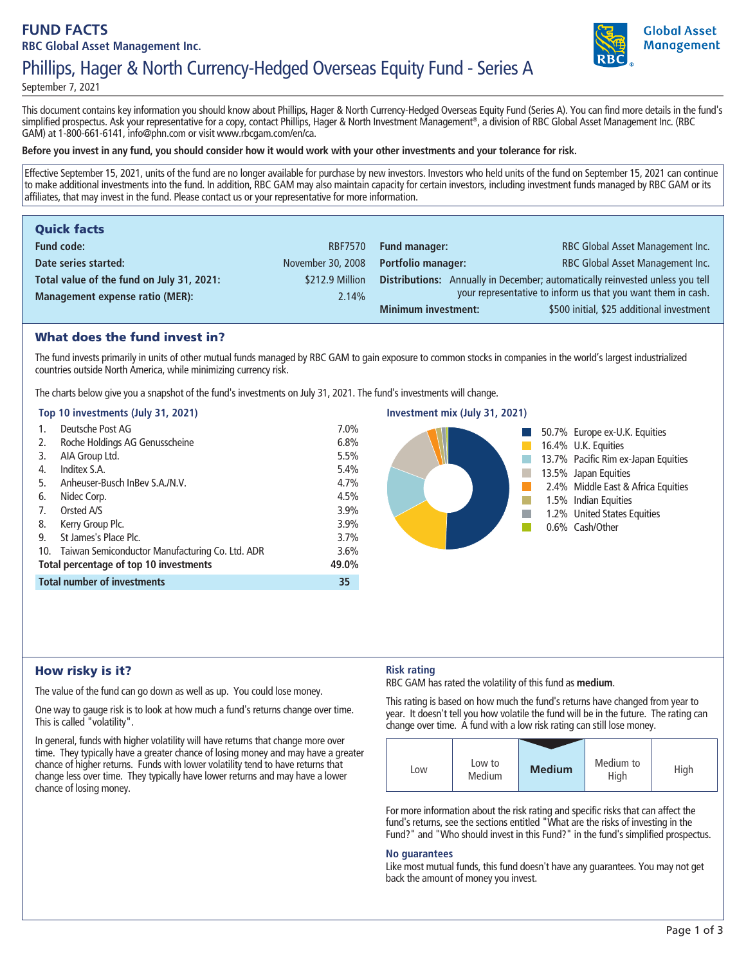# **FUND FACTS RBC Global Asset Management Inc.**



# **Phillips, Hager & North Currency-Hedged Overseas Equity Fund - Series A**

**September 7, 2021**

**This document contains key information you should know about Phillips, Hager & North Currency-Hedged Overseas Equity Fund (Series A). You can find more details in the fund's simplified prospectus. Ask your representative for a copy, contact Phillips, Hager & North Investment Management® , a division of RBC Global Asset Management Inc. (RBC GAM) at 1-800-661-6141, info@phn.com or visit www.rbcgam.com/en/ca.**

#### **Before you invest in any fund, you should consider how it would work with your other investments and your tolerance for risk.**

**Effective September 15, 2021, units of the fund are no longer available for purchase by new investors. Investors who held units of the fund on September 15, 2021 can continue to make additional investments into the fund. In addition, RBC GAM may also maintain capacity for certain investors, including investment funds managed by RBC GAM or its affiliates, that may invest in the fund. Please contact us or your representative for more information.**

| <b>Quick facts</b>                        |                   |                            |                                                                               |
|-------------------------------------------|-------------------|----------------------------|-------------------------------------------------------------------------------|
| <b>Fund code:</b>                         | <b>RBF7570</b>    | <b>Fund manager:</b>       | RBC Global Asset Management Inc.                                              |
| Date series started:                      | November 30, 2008 | <b>Portfolio manager:</b>  | RBC Global Asset Management Inc.                                              |
| Total value of the fund on July 31, 2021: | \$212.9 Million   |                            | Distributions: Annually in December; automatically reinvested unless you tell |
| <b>Management expense ratio (MER):</b>    | 2.14%             |                            | your representative to inform us that you want them in cash.                  |
|                                           |                   | <b>Minimum investment:</b> | \$500 initial, \$25 additional investment                                     |

## What does the fund invest in?

**The fund invests primarily in units of other mutual funds managed by RBC GAM to gain exposure to common stocks in companies in the world's largest industrialized countries outside North America, while minimizing currency risk.** 

**The charts below give you a snapshot of the fund's investments on July 31, 2021. The fund's investments will change.**

#### **Top 10 investments (July 31, 2021)**

| 1.                                     | Deutsche Post AG                                    | 7.0%  |
|----------------------------------------|-----------------------------------------------------|-------|
| 2.                                     | Roche Holdings AG Genusscheine                      | 6.8%  |
| 3.                                     | AIA Group Ltd.                                      | 5.5%  |
| 4.                                     | Inditex S.A.                                        | 5.4%  |
| 5.                                     | Anheuser-Busch InBey S.A./N.V.                      | 4.7%  |
| 6.                                     | Nidec Corp.                                         | 4.5%  |
| 7.                                     | Orsted A/S                                          | 3.9%  |
| 8.                                     | Kerry Group Plc.                                    | 3.9%  |
| 9.                                     | St James's Place Plc.                               | 3.7%  |
|                                        | 10. Taiwan Semiconductor Manufacturing Co. Ltd. ADR | 3.6%  |
| Total percentage of top 10 investments |                                                     | 49.0% |
| <b>Total number of investments</b>     |                                                     | 35    |



## How risky is it?

**The value of the fund can go down as well as up. You could lose money.**

**One way to gauge risk is to look at how much a fund's returns change over time. This is called "volatility".**

**In general, funds with higher volatility will have returns that change more over time. They typically have a greater chance of losing money and may have a greater chance of higher returns. Funds with lower volatility tend to have returns that change less over time. They typically have lower returns and may have a lower chance of losing money.**

## **Risk rating**

**RBC GAM has rated the volatility of this fund as medium.**

**This rating is based on how much the fund's returns have changed from year to year. It doesn't tell you how volatile the fund will be in the future. The rating can change over time. A fund with a low risk rating can still lose money.**

| Low | Low to<br>Medium | <b>Medium</b> | Medium to<br>High | High |
|-----|------------------|---------------|-------------------|------|

**For more information about the risk rating and specific risks that can affect the fund's returns, see the sections entitled "What are the risks of investing in the Fund?" and "Who should invest in this Fund?" in the fund's simplified prospectus.**

#### **No guarantees**

**Like most mutual funds, this fund doesn't have any guarantees. You may not get back the amount of money you invest.**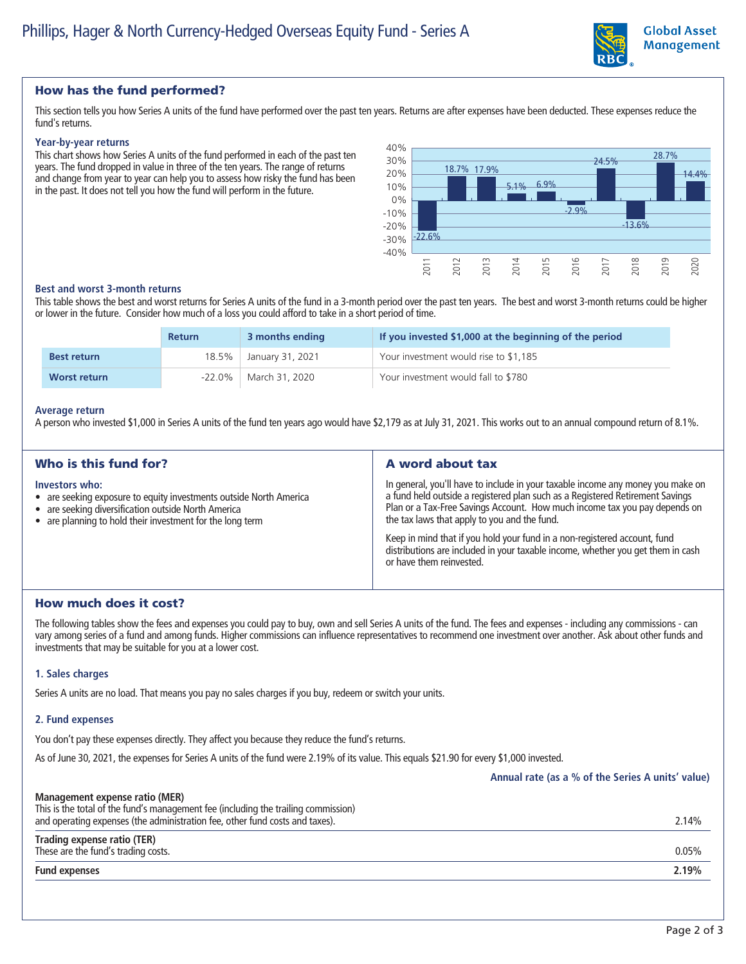

## How has the fund performed?

**This section tells you how Series A units of the fund have performed over the past ten years. Returns are after expenses have been deducted. These expenses reduce the fund's returns.**

#### **Year-by-year returns**

**This chart shows how Series A units of the fund performed in each of the past ten years. The fund dropped in value in three of the ten years. The range of returns and change from year to year can help you to assess how risky the fund has been in the past. It does not tell you how the fund will perform in the future.**



#### **Best and worst 3-month returns**

**This table shows the best and worst returns for Series A units of the fund in a 3-month period over the past ten years. The best and worst 3-month returns could be higher or lower in the future. Consider how much of a loss you could afford to take in a short period of time.**

|                     | <b>Return</b> | 3 months ending        | If you invested \$1,000 at the beginning of the period |
|---------------------|---------------|------------------------|--------------------------------------------------------|
| <b>Best return</b>  |               | 18.5% January 31, 2021 | Your investment would rise to \$1,185                  |
| <b>Worst return</b> | $-22.0\%$     | March 31, 2020         | Your investment would fall to \$780                    |

#### **Average return**

**A person who invested \$1,000 in Series A units of the fund ten years ago would have \$2,179 as at July 31, 2021. This works out to an annual compound return of 8.1%.**

| Who is this fund for?                                                                                                                                                                                    | A word about tax                                                                                                                                                                                                                                                                               |  |
|----------------------------------------------------------------------------------------------------------------------------------------------------------------------------------------------------------|------------------------------------------------------------------------------------------------------------------------------------------------------------------------------------------------------------------------------------------------------------------------------------------------|--|
| Investors who:<br>• are seeking exposure to equity investments outside North America<br>• are seeking diversification outside North America<br>• are planning to hold their investment for the long term | In general, you'll have to include in your taxable income any money you make on<br>a fund held outside a registered plan such as a Registered Retirement Savings<br>Plan or a Tax-Free Savings Account. How much income tax you pay depends on<br>the tax laws that apply to you and the fund. |  |
|                                                                                                                                                                                                          | Keep in mind that if you hold your fund in a non-registered account, fund<br>distributions are included in your taxable income, whether you get them in cash<br>or have them reinvested.                                                                                                       |  |

## How much does it cost?

**The following tables show the fees and expenses you could pay to buy, own and sell Series A units of the fund. The fees and expenses - including any commissions - can vary among series of a fund and among funds. Higher commissions can influence representatives to recommend one investment over another. Ask about other funds and investments that may be suitable for you at a lower cost.**

#### **1. Sales charges**

**Series A units are no load. That means you pay no sales charges if you buy, redeem or switch your units.**

#### **2. Fund expenses**

**You don't pay these expenses directly. They affect you because they reduce the fund's returns.**

**As of June 30, 2021, the expenses for Series A units of the fund were 2.19% of its value. This equals \$21.90 for every \$1,000 invested.**

|                                                                                                                                                                                                      | Annual rate (as a % of the Series A units' value) |
|------------------------------------------------------------------------------------------------------------------------------------------------------------------------------------------------------|---------------------------------------------------|
| Management expense ratio (MER)<br>This is the total of the fund's management fee (including the trailing commission)<br>and operating expenses (the administration fee, other fund costs and taxes). | 2.14%                                             |
| Trading expense ratio (TER)<br>These are the fund's trading costs.                                                                                                                                   | 0.05%                                             |
| <b>Fund expenses</b>                                                                                                                                                                                 | 2.19%                                             |